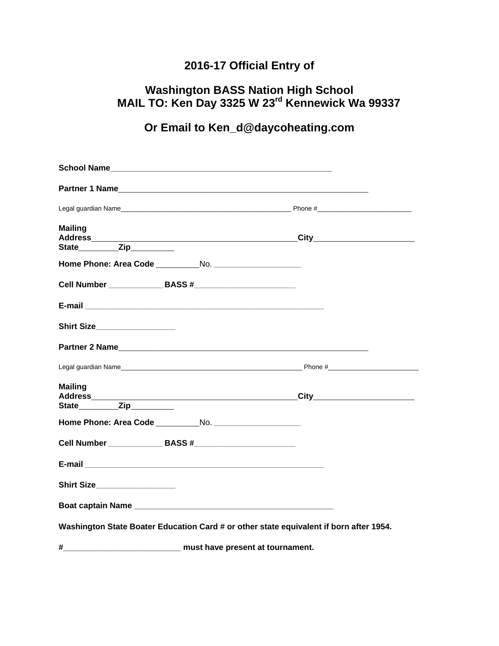# **2016-17 Official Entry of**

### **Washington BASS Nation High School MAIL TO: Ken Day 3325 W 23rd Kennewick Wa 99337**

# **Or Email to Ken\_d@daycoheating.com**

| <b>Mailing</b>                                                                         |                                  |  |
|----------------------------------------------------------------------------------------|----------------------------------|--|
|                                                                                        |                                  |  |
|                                                                                        |                                  |  |
|                                                                                        |                                  |  |
|                                                                                        |                                  |  |
| Shirt Size__________________                                                           |                                  |  |
|                                                                                        |                                  |  |
|                                                                                        |                                  |  |
| <b>Mailing</b>                                                                         |                                  |  |
| State___________Zip___________                                                         |                                  |  |
|                                                                                        |                                  |  |
| Cell Number ________________ BASS #_________________________                           |                                  |  |
|                                                                                        |                                  |  |
| Shirt Size___________________                                                          |                                  |  |
|                                                                                        |                                  |  |
| Washington State Boater Education Card # or other state equivalent if born after 1954. |                                  |  |
| #                                                                                      | must have present at tournament. |  |